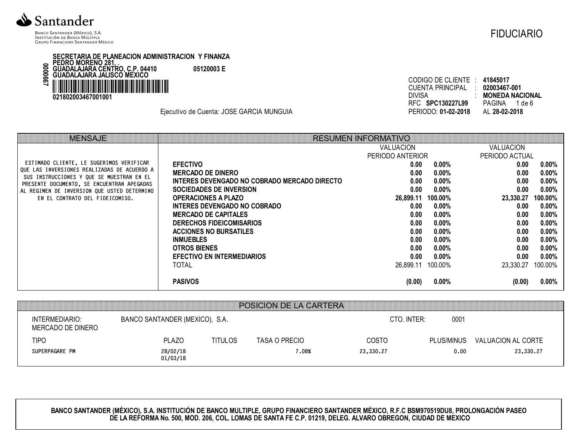

BANCO SANTANDER (MÉXICO), S.A. INSTITUCIÓN DE BANCA MÚLTIPLE **GRUPO FINANCIERO SANTANDER MÉXICO**  **FIDUCIARIO** 

SECRETARIA DE PLANEACION ADMINISTRACION Y FINANZA<br>PEDRO MORENO 281, .<br>GUADALAJARA CENTRO, C.P. 04410 05120003 E<br>GUADALAJARA JALISCO MEXICO 1990000 021802003467001001

Ejecutivo de Cuenta: JOSE GARCIA MUNGUIA

| CUENTA PRINCIPAL : | 02003467-001  |                              |
|--------------------|---------------|------------------------------|
|                    |               | <b>MONEDA NACIONAL</b>       |
|                    | PAGINA 1 de 6 |                              |
|                    | AL 28-02-2018 |                              |
|                    |               | CODIGO DE CLIENTE : 41845017 |

| <b>MENSAJE</b>                                                                           |                                              | <b>RESUMEN INFORMATIVO</b> |          |                |          |
|------------------------------------------------------------------------------------------|----------------------------------------------|----------------------------|----------|----------------|----------|
|                                                                                          |                                              | <b>VALUACION</b>           |          | VALUACION      |          |
|                                                                                          |                                              | PERIODO ANTERIOR           |          | PERIODO ACTUAL |          |
| ESTIMADO CLIENTE, LE SUGERIMOS VERIFICAR                                                 | <b>EFECTIVO</b>                              | 0.00                       | $0.00\%$ | 0.00           | $0.00\%$ |
| QUE LAS INVERSIONES REALIZADAS DE ACUERDO A<br>SUS INSTRUCCIONES Y QUE SE MUESTRAN EN EL | <b>MERCADO DE DINERO</b>                     | 0.00                       | $0.00\%$ | 0.00           | $0.00\%$ |
| PRESENTE DOCUMENTO, SE ENCUENTRAN APEGADAS                                               | INTERES DEVENGADO NO COBRADO MERCADO DIRECTO | 0.00                       | $0.00\%$ | 0.00           | $0.00\%$ |
| AL REGIMEN DE INVERSION QUE USTED DETERMINO                                              | <b>SOCIEDADES DE INVERSION</b>               | 0.00                       | $0.00\%$ | 0.00           | $0.00\%$ |
| EN EL CONTRATO DEL FIDEICOMISO.                                                          | <b>OPERACIONES A PLAZO</b>                   | 26,899.11                  | 100.00%  | 23,330.27      | 100.00%  |
|                                                                                          | INTERES DEVENGADO NO COBRADO                 | 0.00                       | $0.00\%$ | 0.00           | $0.00\%$ |
|                                                                                          | <b>MERCADO DE CAPITALES</b>                  | 0.00                       | $0.00\%$ | 0.00           | $0.00\%$ |
|                                                                                          | <b>DERECHOS FIDEICOMISARIOS</b>              | 0.00                       | $0.00\%$ | 0.00           | $0.00\%$ |
|                                                                                          | <b>ACCIONES NO BURSATILES</b>                | 0.00                       | $0.00\%$ | 0.00           | $0.00\%$ |
|                                                                                          | <b>INMUEBLES</b>                             | 0.00                       | $0.00\%$ | 0.00           | $0.00\%$ |
|                                                                                          | <b>OTROS BIENES</b>                          | 0.00                       | $0.00\%$ | 0.00           | $0.00\%$ |
|                                                                                          | <b>EFECTIVO EN INTERMEDIARIOS</b>            | 0.00                       | $0.00\%$ | 0.00           | $0.00\%$ |
|                                                                                          | <b>TOTAL</b>                                 | 26,899.11                  | 100.00%  | 23,330.27      | 100.00%  |
|                                                                                          | <b>PASIVOS</b>                               | (0.00)                     | $0.00\%$ | (0.00)         | $0.00\%$ |

|                                     |                                |                | <b>POSICION DE LA CARTERA</b> |              |            |                    |
|-------------------------------------|--------------------------------|----------------|-------------------------------|--------------|------------|--------------------|
| INTERMEDIARIO:<br>MERCADO DE DINERO | BANCO SANTANDER (MEXICO), S.A. |                |                               | CTO. INTER:  | 0001       |                    |
| TIPO                                | <b>PLAZO</b>                   | <b>TITULOS</b> | TASA O PRECIO                 | <b>COSTO</b> | PLUS/MINUS | VALUACION AL CORTE |
| SUPERPAGARE PM                      | 28/02/18<br>01/03/18           |                | .08%                          | 23,330,27    | 0.00       | 23,330.27          |

BANCO SANTANDER (MÉXICO), S.A. INSTITUCIÓN DE BANCO MULTIPLE, GRUPO FINANCIERO SANTANDER MÉXICO, R.F.C BSM970519DU8, PROLONGACIÓN PASEO<br>DE LA REFORMA No. 500, MOD. 206, COL. LOMAS DE SANTA FE C.P. 01219, DELEG. ALVARO OBRE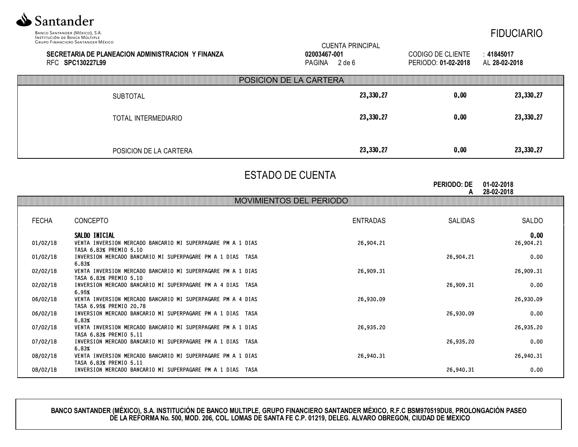

FIDUCIARIO

|              | GRUPO FINANCIERO SANTANDER MEXICO<br>SECRETARIA DE PLANEACION ADMINISTRACION Y FINANZA<br>RFC SPC130227L99 | <b>CUENTA PRINCIPAL</b><br>02003467-001<br>PAGINA 2 de 6 | CODIGO DE CLIENTE<br>PERIODO: 01-02-2018 | : 41845017<br>AL 28-02-2018 |  |  |
|--------------|------------------------------------------------------------------------------------------------------------|----------------------------------------------------------|------------------------------------------|-----------------------------|--|--|
|              |                                                                                                            | <b>POSICION DE LA CARTERA</b>                            |                                          |                             |  |  |
|              | <b>SUBTOTAL</b>                                                                                            | 23,330.27                                                | 0.00                                     | 23,330.27                   |  |  |
|              | TOTAL INTERMEDIARIO                                                                                        | 23,330.27                                                | 0.00                                     | 23,330.27                   |  |  |
|              | POSICION DE LA CARTERA                                                                                     | 23,330.27                                                | 0.00                                     | 23,330.27                   |  |  |
|              | <b>ESTADO DE CUENTA</b><br><b>PERIODO: DE</b><br>01-02-2018<br>28-02-2018<br>A                             |                                                          |                                          |                             |  |  |
|              |                                                                                                            | <b>MOVIMIENTOS DEL PERIODO</b>                           |                                          |                             |  |  |
| <b>FECHA</b> | CONCEPTO                                                                                                   | <b>ENTRADAS</b>                                          | <b>SALIDAS</b>                           | SALDO                       |  |  |
| 01/02/18     | SALDO INICIAL<br>VENTA INVERSION MERCADO BANCARIO MI SUPERPAGARE PM A 1 DIAS<br>TASA 6.83% PREMIO 5.10     | 26,904.21                                                |                                          | 0.00<br>26,904.21           |  |  |
| 01/02/18     | INVERSION MERCADO BANCARIO MI SUPERPAGARE PM A 1 DIAS TASA                                                 |                                                          | 26,904.21                                | 0.00                        |  |  |
| 02/02/18     | 6.83%<br>VENTA INVERSION MERCADO BANCARIO MI SUPERPAGARE PM A 1 DIAS<br>TASA 6.83% PREMIO 5.10             | 26,909.31                                                |                                          | 26,909.31                   |  |  |
| 02/02/18     | INVERSION MERCADO BANCARIO MI SUPERPAGARE PM A 4 DIAS TASA                                                 |                                                          | 26,909.31                                | 0.00                        |  |  |
| 06/02/18     | 6.95%<br>VENTA INVERSION MERCADO BANCARIO MI SUPERPAGARE PM A 4 DIAS<br>TASA 6.95% PREMIO 20.78            | 26,930.09                                                |                                          | 26,930.09                   |  |  |
| 06/02/18     | INVERSION MERCADO BANCARIO MI SUPERPAGARE PM A 1 DIAS TASA                                                 |                                                          | 26,930.09                                | 0.00                        |  |  |
| 07/02/18     | 6.83%<br>VENTA INVERSION MERCADO BANCARIO MI SUPERPAGARE PM A 1 DIAS<br>TASA 6.83% PREMIO 5.11             | 26,935.20                                                |                                          | 26,935.20                   |  |  |
| 07/02/18     | INVERSION MERCADO BANCARIO MI SUPERPAGARE PM A 1 DIAS TASA                                                 |                                                          | 26,935.20                                | 0.00                        |  |  |
| 08/02/18     | 6.83%<br>VENTA INVERSION MERCADO BANCARIO MI SUPERPAGARE PM A 1 DIAS<br>TASA 6.83% PREMIO 5.11             | 26,940.31                                                |                                          | 26,940.31                   |  |  |
| 08/02/18     | INVERSION MERCADO BANCARIO MI SUPERPAGARE PM A 1 DIAS TASA                                                 |                                                          | 26,940.31                                | 0.00                        |  |  |

**BANCO SANTANDER (MÉXICO), S.A. INSTITUCIÓN DE BANCO MULTIPLE, GRUPO FINANCIERO SANTANDER MÉXICO, R.F.C BSM970519DU8, PROLONGACIÓN PASEO DE LA REFORMA No. 500, MOD. 206, COL. LOMAS DE SANTA FE C.P. 01219, DELEG. ALVARO OBREGON, CIUDAD DE MEXICO**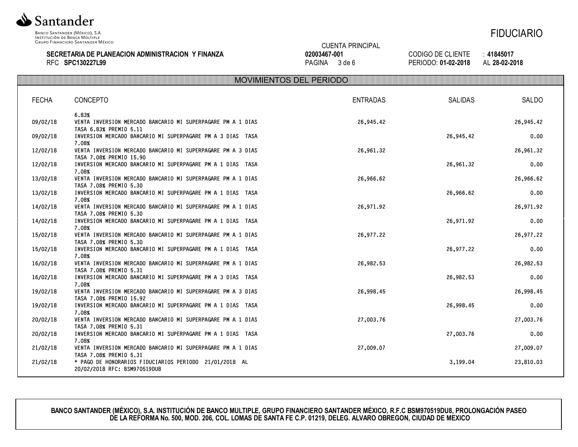

### **SECRETARIA DE PLANEACION ADMINISTRACION Y FINANZA** RFC **SPC130227L99**



CODIGO DE CLIENTE : **41845017** PERIODO: **01-02-2018** AL **28-02-2018**

|              | <b>MOVIMIENTOS DEL PERIODO</b>                                                         |                 |           |           |  |
|--------------|----------------------------------------------------------------------------------------|-----------------|-----------|-----------|--|
| <b>FECHA</b> | <b>CONCEPTO</b>                                                                        | <b>ENTRADAS</b> | SALIDAS   | SALDO     |  |
|              |                                                                                        |                 |           |           |  |
|              | 6.83%                                                                                  |                 |           |           |  |
| 09/02/18     | VENTA INVERSION MERCADO BANCARIO MI SUPERPAGARE PM A 1 DIAS<br>TASA 6.83% PREMIO 5.11  | 26,945.42       |           | 26,945.42 |  |
| 09/02/18     | INVERSION MERCADO BANCARIO MI SUPERPAGARE PM A 3 DIAS TASA                             |                 | 26,945.42 | 0.00      |  |
|              | 7.08%                                                                                  |                 |           |           |  |
| 12/02/18     | VENTA INVERSION MERCADO BANCARIO MI SUPERPAGARE PM A 3 DIAS<br>TASA 7.08% PREMIO 15.90 | 26,961.32       |           | 26,961.32 |  |
| 12/02/18     | INVERSION MERCADO BANCARIO MI SUPERPAGARE PM A 1 DIAS TASA                             |                 | 26,961.32 | 0.00      |  |
|              | 7.08%                                                                                  |                 |           |           |  |
| 13/02/18     | VENTA INVERSION MERCADO BANCARIO MI SUPERPAGARE PM A 1 DIAS<br>TASA 7.08% PREMIO 5.30  | 26,966.62       |           | 26,966.62 |  |
| 13/02/18     | INVERSION MERCADO BANCARIO MI SUPERPAGARE PM A 1 DIAS TASA                             |                 | 26,966.62 | 0.00      |  |
|              | 7.08%                                                                                  |                 |           |           |  |
| 14/02/18     | VENTA INVERSION MERCADO BANCARIO MI SUPERPAGARE PM A 1 DIAS<br>TASA 7.08% PREMIO 5.30  | 26,971.92       |           | 26,971.92 |  |
| 14/02/18     | INVERSION MERCADO BANCARIO MI SUPERPAGARE PM A 1 DIAS TASA                             |                 | 26,971.92 | 0.00      |  |
|              | 7.08%                                                                                  |                 |           |           |  |
| 15/02/18     | VENTA INVERSION MERCADO BANCARIO MI SUPERPAGARE PM A 1 DIAS<br>TASA 7.08% PREMIO 5.30  | 26,977.22       |           | 26,977.22 |  |
| 15/02/18     | INVERSION MERCADO BANCARIO MI SUPERPAGARE PM A 1 DIAS TASA                             |                 | 26,977.22 | 0.00      |  |
|              | 7.08%                                                                                  |                 |           |           |  |
| 16/02/18     | VENTA INVERSION MERCADO BANCARIO MI SUPERPAGARE PM A 1 DIAS<br>TASA 7.08% PREMIO 5.31  | 26,982.53       |           | 26,982.53 |  |
| 16/02/18     | INVERSION MERCADO BANCARIO MI SUPERPAGARE PM A 3 DIAS TASA                             |                 | 26,982.53 | 0.00      |  |
|              | 7.08%                                                                                  |                 |           |           |  |
| 19/02/18     | VENTA INVERSION MERCADO BANCARIO MI SUPERPAGARE PM A 3 DIAS                            | 26,998.45       |           | 26,998.45 |  |
| 19/02/18     | TASA 7.08% PREMIO 15.92<br>INVERSION MERCADO BANCARIO MI SUPERPAGARE PM A 1 DIAS TASA  |                 | 26,998.45 | 0.00      |  |
|              | 7.08%                                                                                  |                 |           |           |  |
| 20/02/18     | VENTA INVERSION MERCADO BANCARIO MI SUPERPAGARE PM A 1 DIAS                            | 27,003.76       |           | 27,003.76 |  |
| 20/02/18     | TASA 7.08% PREMIO 5.31<br>INVERSION MERCADO BANCARIO MI SUPERPAGARE PM A 1 DIAS TASA   |                 | 27,003.76 | 0.00      |  |
|              | 7.08%                                                                                  |                 |           |           |  |
| 21/02/18     | VENTA INVERSION MERCADO BANCARIO MI SUPERPAGARE PM A 1 DIAS                            | 27,009.07       |           | 27,009.07 |  |
| 21/02/18     | TASA 7.08% PREMIO 5.31<br>* PAGO DE HONORARIOS FIDUCIARIOS PERIODO 21/01/2018 AL       |                 | 3,199.04  | 23,810.03 |  |
|              | 20/02/2018 RFC: BSM970519DU8                                                           |                 |           |           |  |
|              |                                                                                        |                 |           |           |  |

CUENTA PRINCIPAL

**02003467-001** PAGINA 3 de 6

**BANCO SANTANDER (MÉXICO), S.A. INSTITUCIÓN DE BANCO MULTIPLE, GRUPO FINANCIERO SANTANDER MÉXICO, R.F.C BSM970519DU8, PROLONGACIÓN PASEO DE LA REFORMA No. 500, MOD. 206, COL. LOMAS DE SANTA FE C.P. 01219, DELEG. ALVARO OBREGON, CIUDAD DE MEXICO**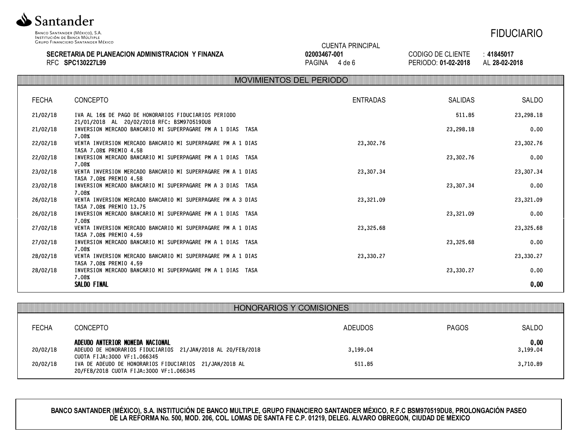

### **SECRETARIA DE PLANEACION ADMINISTRACION Y FINANZA** RFC **SPC130227L99**

|              | <b>CUENTA PRINCIPAL</b> |  |  |
|--------------|-------------------------|--|--|
| 02003467-001 |                         |  |  |

PAGINA 4 de 6

CODIGO DE CLIENTE : **41845017** PERIODO: **01-02-2018** AL **28-02-2018**

|              |                                                                                                    | <b>MOVIMIENTOS DEL PERIODO</b> |                |           |  |
|--------------|----------------------------------------------------------------------------------------------------|--------------------------------|----------------|-----------|--|
| <b>FECHA</b> | <b>CONCEPTO</b>                                                                                    | <b>ENTRADAS</b>                | <b>SALIDAS</b> | SALDO     |  |
|              |                                                                                                    |                                |                |           |  |
| 21/02/18     | IVA AL 16% DE PAGO DE HONORARIOS FIDUCIARIOS PERIODO<br>21/01/2018 AL 20/02/2018 RFC: BSM970519DU8 |                                | 511.85         | 23,298.18 |  |
| 21/02/18     | INVERSION MERCADO BANCARIO MI SUPERPAGARE PM A 1 DIAS TASA<br>7.08%                                |                                | 23,298.18      | 0.00      |  |
| 22/02/18     | VENTA INVERSION MERCADO BANCARIO MI SUPERPAGARE PM A 1 DIAS<br>TASA 7.08% PREMIO 4.58              | 23,302.76                      |                | 23,302.76 |  |
| 22/02/18     | INVERSION MERCADO BANCARIO MI SUPERPAGARE PM A 1 DIAS TASA<br>7.08%                                |                                | 23,302.76      | 0.00      |  |
| 23/02/18     | VENTA INVERSION MERCADO BANCARIO MI SUPERPAGARE PM A 1 DIAS<br>TASA 7.08% PREMIO 4.58              | 23,307.34                      |                | 23,307.34 |  |
| 23/02/18     | INVERSION MERCADO BANCARIO MI SUPERPAGARE PM A 3 DIAS TASA<br>7.08%                                |                                | 23,307.34      | 0.00      |  |
| 26/02/18     | VENTA INVERSION MERCADO BANCARIO MI SUPERPAGARE PM A 3 DIAS<br>TASA 7.08% PREMIO 13.75             | 23,321.09                      |                | 23,321.09 |  |
| 26/02/18     | INVERSION MERCADO BANCARIO MI SUPERPAGARE PM A 1 DIAS TASA<br>7.08%                                |                                | 23,321.09      | 0.00      |  |
| 27/02/18     | VENTA INVERSION MERCADO BANCARIO MI SUPERPAGARE PM A 1 DIAS<br>TASA 7.08% PREMIO 4.59              | 23,325.68                      |                | 23,325.68 |  |
| 27/02/18     | INVERSION MERCADO BANCARIO MI SUPERPAGARE PM A 1 DIAS TASA<br>7.08%                                |                                | 23,325.68      | 0.00      |  |
| 28/02/18     | VENTA INVERSION MERCADO BANCARIO MI SUPERPAGARE PM A 1 DIAS<br>TASA 7.08% PREMIO 4.59              | 23,330.27                      |                | 23,330.27 |  |
| 28/02/18     | INVERSION MERCADO BANCARIO MI SUPERPAGARE PM A 1 DIAS TASA<br>7.08%                                |                                | 23,330.27      | 0.00      |  |
|              | SALDO FINAL                                                                                        |                                |                | 0.00      |  |

|                      | HONORARIOS Y COMISIONES                                                                                                                                                                                                            |                    |              |                              |
|----------------------|------------------------------------------------------------------------------------------------------------------------------------------------------------------------------------------------------------------------------------|--------------------|--------------|------------------------------|
| <b>FECHA</b>         | CONCEPTO                                                                                                                                                                                                                           | ADEUDOS            | <b>PAGOS</b> | SALDO                        |
| 20/02/18<br>20/02/18 | ADEUDO ANTERIOR MONEDA NACIONAL<br>ADEUDO DE HONORARIOS FIDUCIARIOS 21/JAN/2018 AL 20/FEB/2018<br>CUOTA FIJA:3000 VF:1.066345<br>IVA DE ADEUDO DE HONORARIOS FIDUCIARIOS 21/JAN/2018 AL<br>20/FEB/2018 CU0TA FIJA:3000 VF:1.066345 | 3,199.04<br>511.85 |              | 0.00<br>3,199.04<br>3,710.89 |

**BANCO SANTANDER (MÉXICO), S.A. INSTITUCIÓN DE BANCO MULTIPLE, GRUPO FINANCIERO SANTANDER MÉXICO, R.F.C BSM970519DU8, PROLONGACIÓN PASEO DE LA REFORMA No. 500, MOD. 206, COL. LOMAS DE SANTA FE C.P. 01219, DELEG. ALVARO OBREGON, CIUDAD DE MEXICO**

# FIDUCIARIO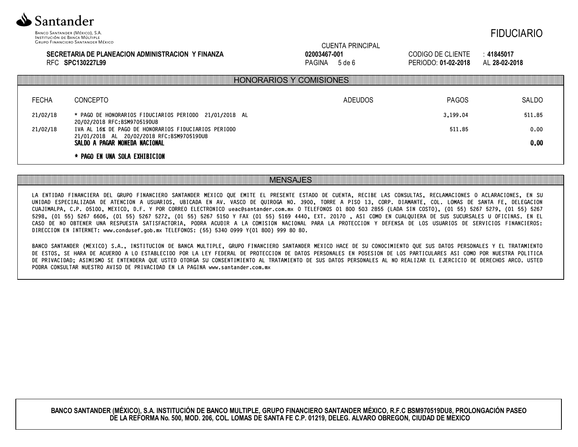

### **SECRETARIA DE PLANEACION ADMINISTRACION Y FINANZA** RFC **SPC130227L99**

CUENTA PRINCIPAL

CODIGO DE CLIENTE : **41845017** PERIODO: **01-02-2018** AL **28-02-2018**

FIDUCIARIO

|              |                                                                                       | <b>HONORARIOS Y COMISIONES</b> |              |        |
|--------------|---------------------------------------------------------------------------------------|--------------------------------|--------------|--------|
| <b>FECHA</b> | <b>CONCEPTO</b>                                                                       | ADEUDOS                        | <b>PAGOS</b> | SALDO  |
| 21/02/18     | * PAGO DE HONORARIOS FIDUCIARIOS PERIODO 21/01/2018 AL<br>20/02/2018 RFC:BSM970519DU8 |                                | 3,199.04     | 511.85 |
| 21/02/18     | IVA AL 16% DE PAGO DE HONORARIOS FIDUCIARIOS PERIODO                                  |                                | 511.85       | 0.00   |
|              | 21/01/2018 AL 20/02/2018 RFC:BSM970519DU8<br>SALDO A PAGAR MONEDA NACIONAL            |                                |              | 0.00   |
|              | * PAGO EN UNA SOLA EXHIBICION                                                         |                                |              |        |

### MENSAJES

LA ENTIDAD FINANCIERA DEL GRUPO FINANCIERO SANTANDER MEXICO QUE EMITE EL PRESENTE ESTADO DE CUENTA, RECIBE LAS CONSULTAS, RECLAMACIONES O ACLARACIONES, EN SU UNIDAD ESPECIALIZADA DE ATENCION A USUARIOS, UBICADA EN AV. VASCO DE QUIROGA NO. 3900, TORRE A PISO 13, CORP. DIAMANTE, COL. LOMAS DE SANTA FE, DELEGACION CUAJIMALPA, C.P. 05100, MEXICO, D.F. Y POR CORREO ELECTRONICO ueac@santander.com.mx O TELEFONOS 01 800 503 2855 (LADA SIN COSTO), (01 55) 5267 5279, (01 55) 5267 5298, (01 55) 5267 6606, (01 55) 5267 5272, (01 55) 5267 5150 Y FAX (01 55) 5169 4440, EXT. 20170 , ASI COMO EN CUALQUIERA DE SUS SUCURSALES U OFICINAS. EN EL CASO DE NO OBTENER UNA RESPUESTA SATISFACTORIA, PODRA ACUDIR A LA COMISION NACIONAL PARA LA PROTECCION Y DEFENSA DE LOS USUARIOS DE SERVICIOS FINANCIEROS: DIRECCION EN INTERNET: www.condusef.gob.mx TELEFONOS: (55) 5340 0999 Y(01 800) 999 80 80.

BANCO SANTANDER (MEXICO) S.A., INSTITUCION DE BANCA MULTIPLE, GRUPO FINANCIERO SANTANDER MEXICO HACE DE SU CONOCIMIENTO QUE SUS DATOS PERSONALES Y EL TRATAMIENTO DE ESTOS, SE HARA DE ACUERDO A LO ESTABLECIDO POR LA LEY FEDERAL DE PROTECCION DE DATOS PERSONALES EN POSESION DE LOS PARTICULARES ASI COMO POR NUESTRA POLITICA DE PRIVACIDAD; ASIMISMO SE ENTENDERA QUE USTED OTORGA SU CONSENTIMIENTO AL TRATAMIENTO DE SUS DATOS PERSONALES AL NO REALIZAR EL EJERCICIO DE DERECHOS ARCO. USTED PODRA CONSULTAR NUESTRO AVISO DE PRIVACIDAD EN LA PAGINA www.santander.com.mx

**BANCO SANTANDER (MÉXICO), S.A. INSTITUCIÓN DE BANCO MULTIPLE, GRUPO FINANCIERO SANTANDER MÉXICO, R.F.C BSM970519DU8, PROLONGACIÓN PASEO DE LA REFORMA No. 500, MOD. 206, COL. LOMAS DE SANTA FE C.P. 01219, DELEG. ALVARO OBREGON, CIUDAD DE MEXICO**